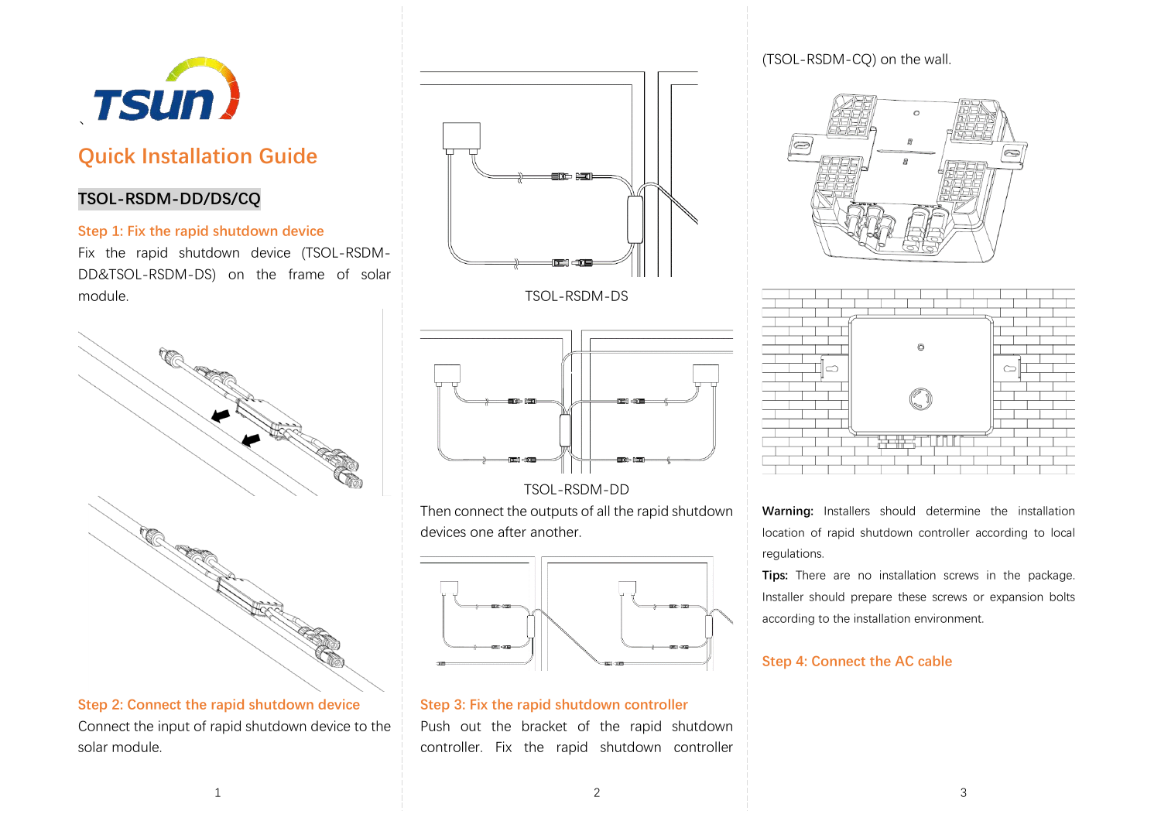

# **Quick Installation Guide**

### **TSOL-RSDM-DD/DS/CQ**

#### **Step 1: Fix the rapid shutdown device**

Fix the rapid shutdown device (TSOL-RSDM-DD&TSOL-RSDM-DS) on the frame of solar module.



**Step 2: Connect the rapid shutdown device** Connect the input of rapid shutdown device to the solar module.



TSOL-RSDM-DS



TSOL-RSDM-DD

Then connect the outputs of all the rapid shutdown devices one after another.



# **Step 3: Fix the rapid shutdown controller**

Push out the bracket of the rapid shutdown controller. Fix the rapid shutdown controller

(TSOL-RSDM-CQ) on the wall.





**Warning:** Installers should determine the installation location of rapid shutdown controller according to local regulations.

**Tips:** There are no installation screws in the package. Installer should prepare these screws or expansion bolts according to the installation environment.

#### **Step 4: Connect the AC cable**

1  $\overline{\phantom{a}}$  3